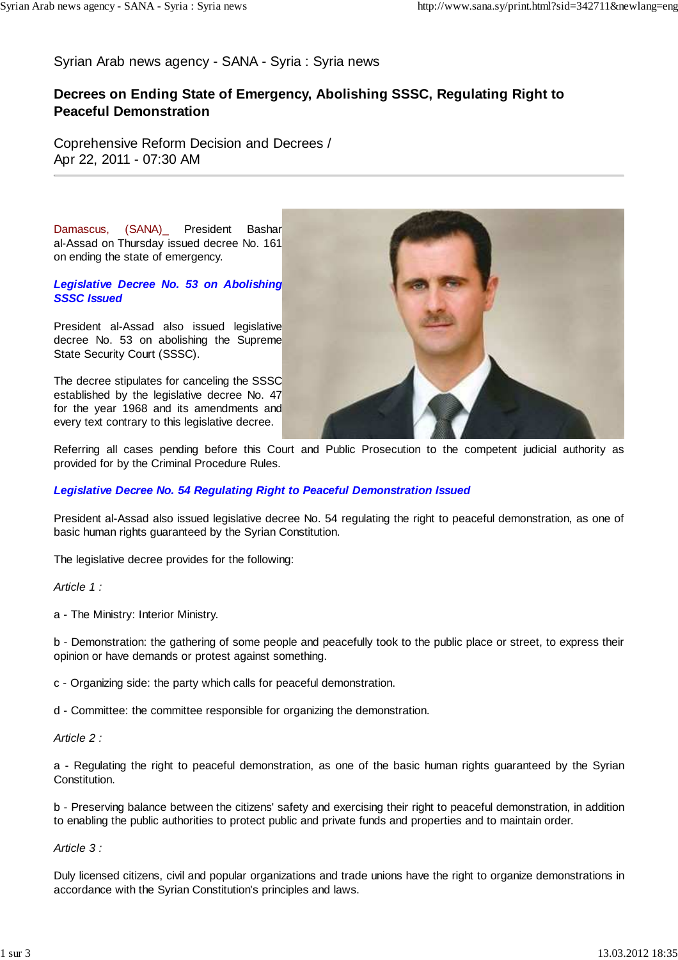Syrian Arab news agency - SANA - Syria : Syria news

# **Decrees on Ending State of Emergency, Abolishing SSSC, Regulating Right to Peaceful Demonstration**

Coprehensive Reform Decision and Decrees / Apr 22, 2011 - 07:30 AM

Damascus, (SANA)\_ President Bashar al-Assad on Thursday issued decree No. 161 on ending the state of emergency.

#### **Legislative Decree No. 53 on Abolishing SSSC Issued**

President al-Assad also issued legislative decree No. 53 on abolishing the Supreme State Security Court (SSSC).

The decree stipulates for canceling the SSSC established by the legislative decree No. 47 for the year 1968 and its amendments and every text contrary to this legislative decree.



Referring all cases pending before this Court and Public Prosecution to the competent judicial authority as provided for by the Criminal Procedure Rules.

## **Legislative Decree No. 54 Regulating Right to Peaceful Demonstration Issued**

President al-Assad also issued legislative decree No. 54 regulating the right to peaceful demonstration, as one of basic human rights guaranteed by the Syrian Constitution.

The legislative decree provides for the following:

Article 1 ·

a - The Ministry: Interior Ministry.

b - Demonstration: the gathering of some people and peacefully took to the public place or street, to express their opinion or have demands or protest against something.

c - Organizing side: the party which calls for peaceful demonstration.

d - Committee: the committee responsible for organizing the demonstration.

Article 2 :

a - Regulating the right to peaceful demonstration, as one of the basic human rights guaranteed by the Syrian Constitution.

b - Preserving balance between the citizens' safety and exercising their right to peaceful demonstration, in addition to enabling the public authorities to protect public and private funds and properties and to maintain order.

Article 3 :

Duly licensed citizens, civil and popular organizations and trade unions have the right to organize demonstrations in accordance with the Syrian Constitution's principles and laws.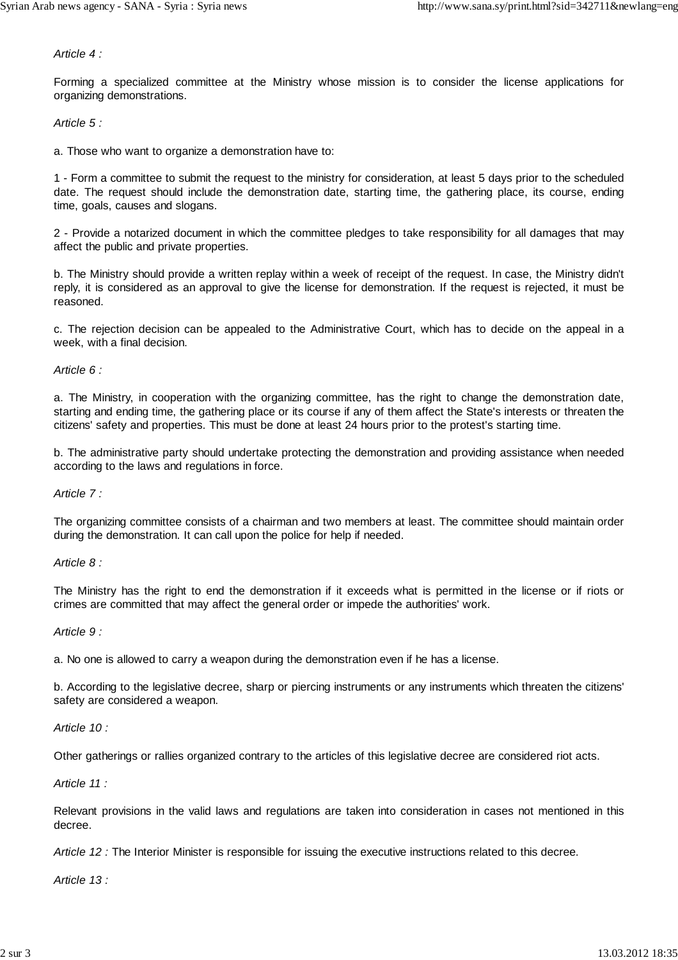Article 4 :

Forming a specialized committee at the Ministry whose mission is to consider the license applications for organizing demonstrations.

Article 5 :

a. Those who want to organize a demonstration have to:

1 - Form a committee to submit the request to the ministry for consideration, at least 5 days prior to the scheduled date. The request should include the demonstration date, starting time, the gathering place, its course, ending time, goals, causes and slogans.

2 - Provide a notarized document in which the committee pledges to take responsibility for all damages that may affect the public and private properties.

b. The Ministry should provide a written replay within a week of receipt of the request. In case, the Ministry didn't reply, it is considered as an approval to give the license for demonstration. If the request is rejected, it must be reasoned.

c. The rejection decision can be appealed to the Administrative Court, which has to decide on the appeal in a week, with a final decision.

Article 6 :

a. The Ministry, in cooperation with the organizing committee, has the right to change the demonstration date, starting and ending time, the gathering place or its course if any of them affect the State's interests or threaten the citizens' safety and properties. This must be done at least 24 hours prior to the protest's starting time.

b. The administrative party should undertake protecting the demonstration and providing assistance when needed according to the laws and regulations in force.

Article 7 :

The organizing committee consists of a chairman and two members at least. The committee should maintain order during the demonstration. It can call upon the police for help if needed.

Article 8 :

The Ministry has the right to end the demonstration if it exceeds what is permitted in the license or if riots or crimes are committed that may affect the general order or impede the authorities' work.

Article 9 :

a. No one is allowed to carry a weapon during the demonstration even if he has a license.

b. According to the legislative decree, sharp or piercing instruments or any instruments which threaten the citizens' safety are considered a weapon.

Article 10 :

Other gatherings or rallies organized contrary to the articles of this legislative decree are considered riot acts.

Article 11 :

Relevant provisions in the valid laws and regulations are taken into consideration in cases not mentioned in this decree.

Article 12 : The Interior Minister is responsible for issuing the executive instructions related to this decree.

Article 13 :